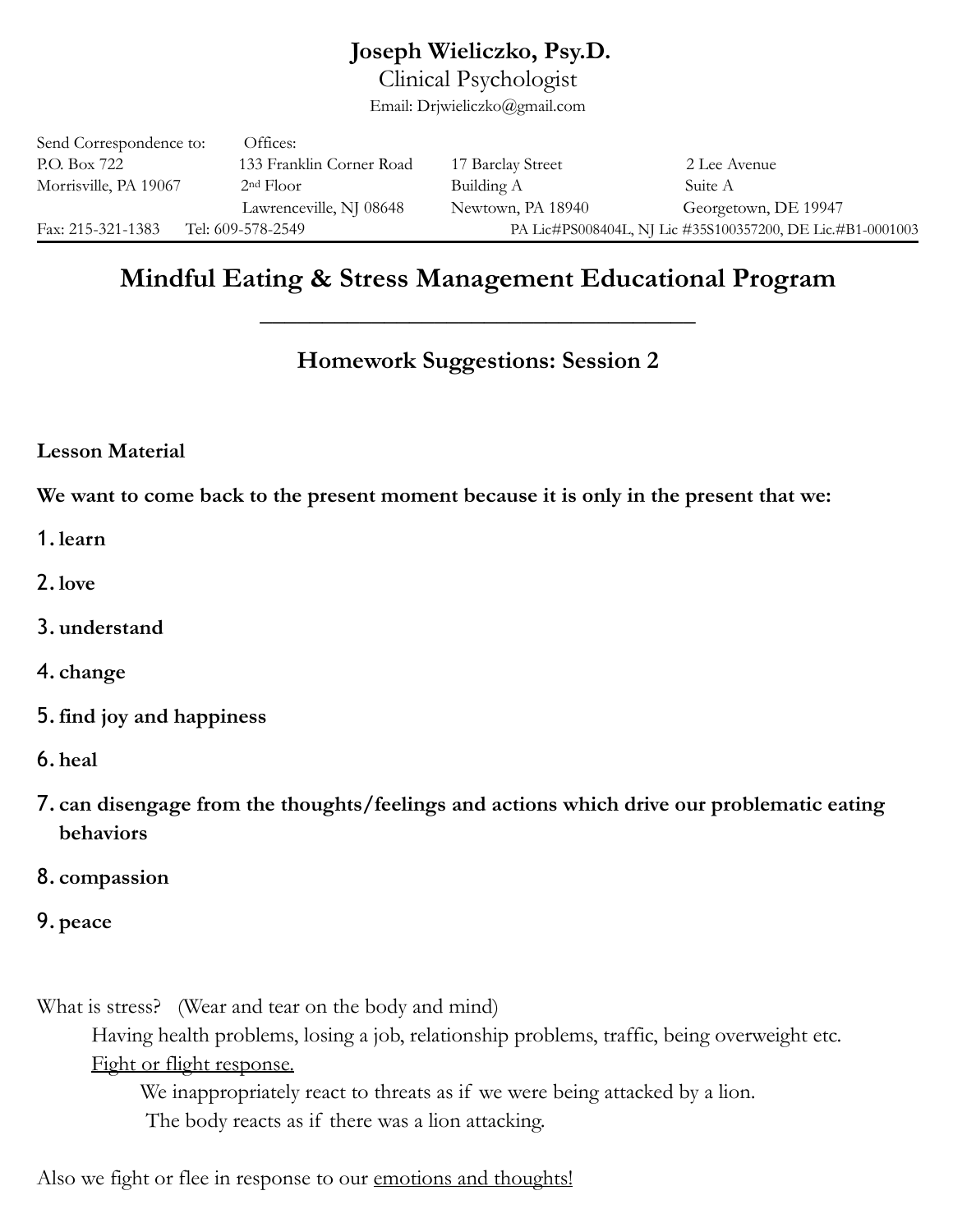## **Joseph Wieliczko, Psy.D.**

Clinical Psychologist

Email: Drjwieliczko@gmail.com

| Send Correspondence to: | Offices:                 |                                                            |                      |
|-------------------------|--------------------------|------------------------------------------------------------|----------------------|
| P.O. Box 722            | 133 Franklin Corner Road | 17 Barclay Street                                          | 2 Lee Avenue         |
| Morrisville, PA 19067   | 2 <sup>nd</sup> Floor    | Building A                                                 | Suite A              |
|                         | Lawrenceville, NJ 08648  | Newtown, PA 18940                                          | Georgetown, DE 19947 |
| Fax: 215-321-1383       | Tel: 609-578-2549        | PA Lic#PS008404L, NJ Lic #35S100357200, DE Lic.#B1-0001003 |                      |

# **Mindful Eating & Stress Management Educational Program**

**\_\_\_\_\_\_\_\_\_\_\_\_\_\_\_\_\_\_\_\_\_\_\_\_\_\_\_\_\_\_\_\_\_\_\_** 

## **Homework Suggestions: Session 2**

### **Lesson Material**

**We want to come back to the present moment because it is only in the present that we:** 

- 1.**learn**
- 2.**love**
- 3.**understand**
- 4. **change**
- 5.**find joy and happiness**
- 6.**heal**
- 7. **can disengage from the thoughts/feelings and actions which drive our problematic eating behaviors**
- 8. **compassion**
- 9.**peace**

What is stress? (Wear and tear on the body and mind) Having health problems, losing a job, relationship problems, traffic, being overweight etc. Fight or flight response. We inappropriately react to threats as if we were being attacked by a lion. The body reacts as if there was a lion attacking.

Also we fight or flee in response to our emotions and thoughts!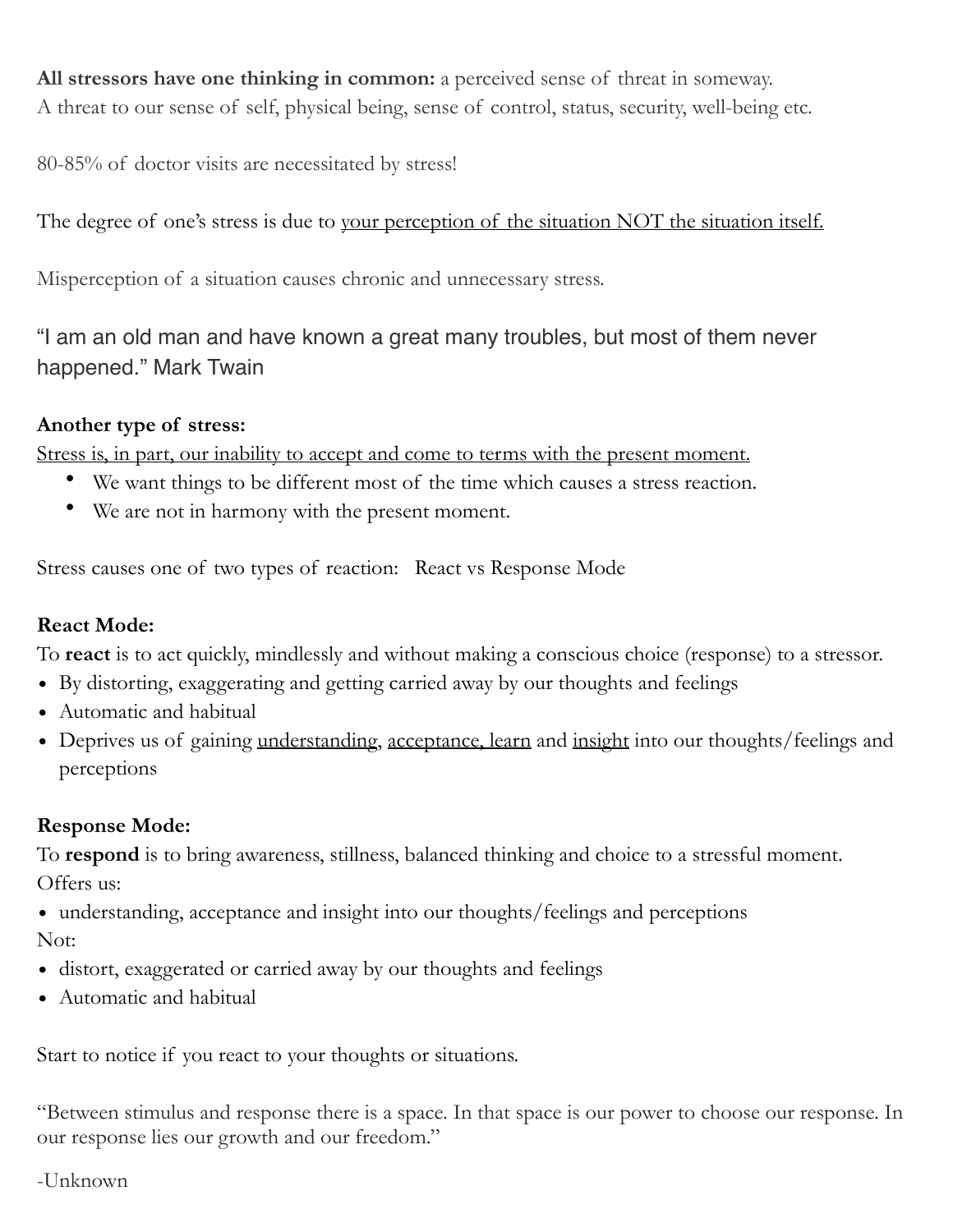**All stressors have one thinking in common:** a perceived sense of threat in someway. A threat to our sense of self, physical being, sense of control, status, security, well-being etc.

80-85% of doctor visits are necessitated by stress!

The degree of one's stress is due to your perception of the situation NOT the situation itself.

Misperception of a situation causes chronic and unnecessary stress.

"I am an old man and have known a great many troubles, but most of them never happened." Mark Twain

## **Another type of stress:**

Stress is, in part, our inability to accept and come to terms with the present moment.

- We want things to be different most of the time which causes a stress reaction.
- We are not in harmony with the present moment.

Stress causes one of two types of reaction: React vs Response Mode

## **React Mode:**

To **react** is to act quickly, mindlessly and without making a conscious choice (response) to a stressor.

- By distorting, exaggerating and getting carried away by our thoughts and feelings
- Automatic and habitual
- Deprives us of gaining understanding, acceptance, learn and insight into our thoughts/feelings and perceptions

## **Response Mode:**

To **respond** is to bring awareness, stillness, balanced thinking and choice to a stressful moment.

Offers us:

- understanding, acceptance and insight into our thoughts/feelings and perceptions Not:
- distort, exaggerated or carried away by our thoughts and feelings
- Automatic and habitual

Start to notice if you react to your thoughts or situations.

"Between stimulus and response there is a space. In that space is our power to choose our response. In our response lies our growth and our freedom."

-Unknown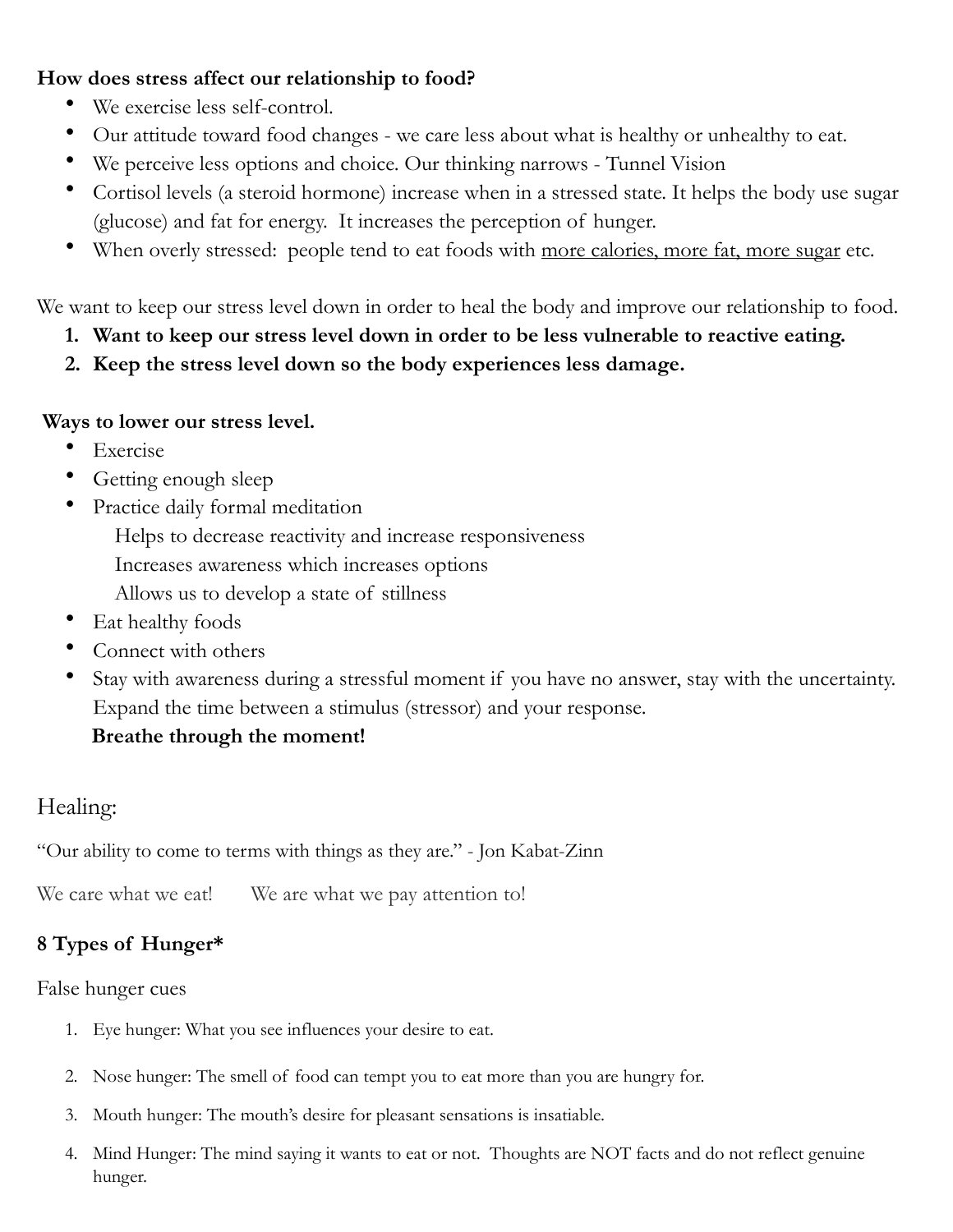### **How does stress affect our relationship to food?**

- We exercise less self-control.
- Our attitude toward food changes we care less about what is healthy or unhealthy to eat.
- We perceive less options and choice. Our thinking narrows Tunnel Vision
- Cortisol levels (a steroid hormone) increase when in a stressed state. It helps the body use sugar (glucose) and fat for energy. It increases the perception of hunger.
- When overly stressed: people tend to eat foods with more calories, more fat, more sugar etc.

We want to keep our stress level down in order to heal the body and improve our relationship to food.

- **1. Want to keep our stress level down in order to be less vulnerable to reactive eating.**
- **2. Keep the stress level down so the body experiences less damage.**

### **Ways to lower our stress level.**

- Exercise
- Getting enough sleep
- Practice daily formal meditation Helps to decrease reactivity and increase responsiveness Increases awareness which increases options Allows us to develop a state of stillness
- Eat healthy foods
- Connect with others
- Stay with awareness during a stressful moment if you have no answer, stay with the uncertainty. Expand the time between a stimulus (stressor) and your response.

## **Breathe through the moment!**

# Healing:

"Our ability to come to terms with things as they are." - Jon Kabat-Zinn

We care what we eat! We are what we pay attention to!

## **8 Types of Hunger\***

False hunger cues

- 1. Eye hunger: What you see influences your desire to eat.
- 2. Nose hunger: The smell of food can tempt you to eat more than you are hungry for.
- 3. Mouth hunger: The mouth's desire for pleasant sensations is insatiable.
- 4. Mind Hunger: The mind saying it wants to eat or not. Thoughts are NOT facts and do not reflect genuine hunger.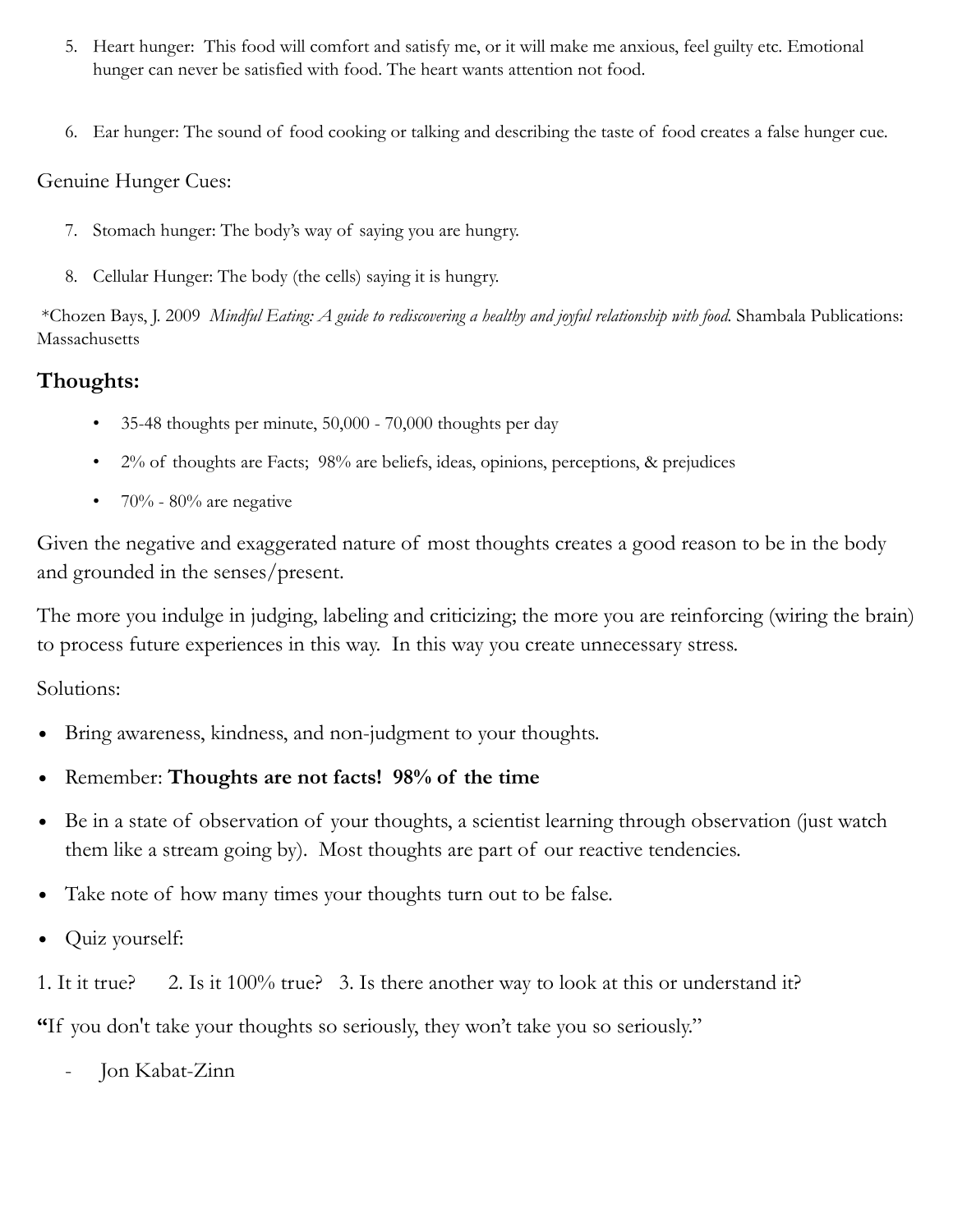- 5. Heart hunger: This food will comfort and satisfy me, or it will make me anxious, feel guilty etc. Emotional hunger can never be satisfied with food. The heart wants attention not food.
- 6. Ear hunger: The sound of food cooking or talking and describing the taste of food creates a false hunger cue.

### Genuine Hunger Cues:

- 7. Stomach hunger: The body's way of saying you are hungry.
- 8. Cellular Hunger: The body (the cells) saying it is hungry.

 \*Chozen Bays, J. 2009 *Mindful Eating: A guide to rediscovering a healthy and joyful relationship with food.* Shambala Publications: Massachusetts

## **Thoughts:**

- 35-48 thoughts per minute, 50,000 70,000 thoughts per day
- 2% of thoughts are Facts; 98% are beliefs, ideas, opinions, perceptions, & prejudices
- $70\%$  80% are negative

Given the negative and exaggerated nature of most thoughts creates a good reason to be in the body and grounded in the senses/present.

The more you indulge in judging, labeling and criticizing; the more you are reinforcing (wiring the brain) to process future experiences in this way. In this way you create unnecessary stress.

Solutions:

- Bring awareness, kindness, and non-judgment to your thoughts.
- Remember: **Thoughts are not facts! 98% of the time**
- Be in a state of observation of your thoughts, a scientist learning through observation (just watch them like a stream going by). Most thoughts are part of our reactive tendencies.
- Take note of how many times your thoughts turn out to be false.
- Quiz yourself:

1. It it true? 2. Is it 100% true? 3. Is there another way to look at this or understand it?

**"**If you don't take your thoughts so seriously, they won't take you so seriously."

- Jon Kabat-Zinn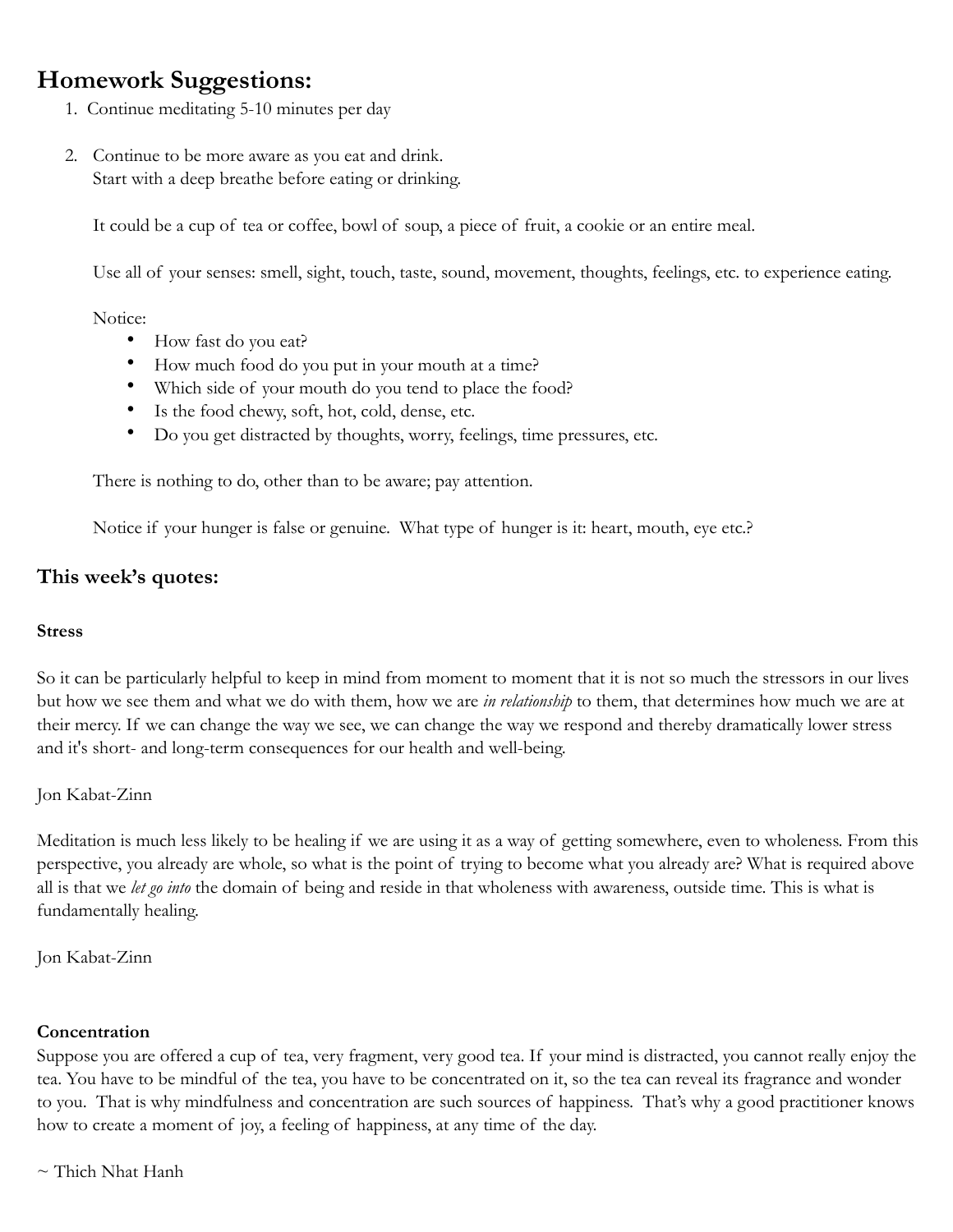# **Homework Suggestions:**

- 1. Continue meditating 5-10 minutes per day
- 2. Continue to be more aware as you eat and drink. Start with a deep breathe before eating or drinking.

It could be a cup of tea or coffee, bowl of soup, a piece of fruit, a cookie or an entire meal.

Use all of your senses: smell, sight, touch, taste, sound, movement, thoughts, feelings, etc. to experience eating.

#### Notice:

- How fast do you eat?
- How much food do you put in your mouth at a time?
- Which side of your mouth do you tend to place the food?
- Is the food chewy, soft, hot, cold, dense, etc.
- Do you get distracted by thoughts, worry, feelings, time pressures, etc.

There is nothing to do, other than to be aware; pay attention.

Notice if your hunger is false or genuine. What type of hunger is it: heart, mouth, eye etc.?

### **This week's quotes:**

#### **Stress**

So it can be particularly helpful to keep in mind from moment to moment that it is not so much the stressors in our lives but how we see them and what we do with them, how we are *in relationship* to them, that determines how much we are at their mercy. If we can change the way we see, we can change the way we respond and thereby dramatically lower stress and it's short- and long-term consequences for our health and well-being.

#### Jon Kabat-Zinn

Meditation is much less likely to be healing if we are using it as a way of getting somewhere, even to wholeness. From this perspective, you already are whole, so what is the point of trying to become what you already are? What is required above all is that we *let go into* the domain of being and reside in that wholeness with awareness, outside time. This is what is fundamentally healing.

Jon Kabat-Zinn

#### **Concentration**

Suppose you are offered a cup of tea, very fragment, very good tea. If your mind is distracted, you cannot really enjoy the tea. You have to be mindful of the tea, you have to be concentrated on it, so the tea can reveal its fragrance and wonder to you. That is why mindfulness and concentration are such sources of happiness. That's why a good practitioner knows how to create a moment of joy, a feeling of happiness, at any time of the day.

 $\sim$  Thich Nhat Hanh